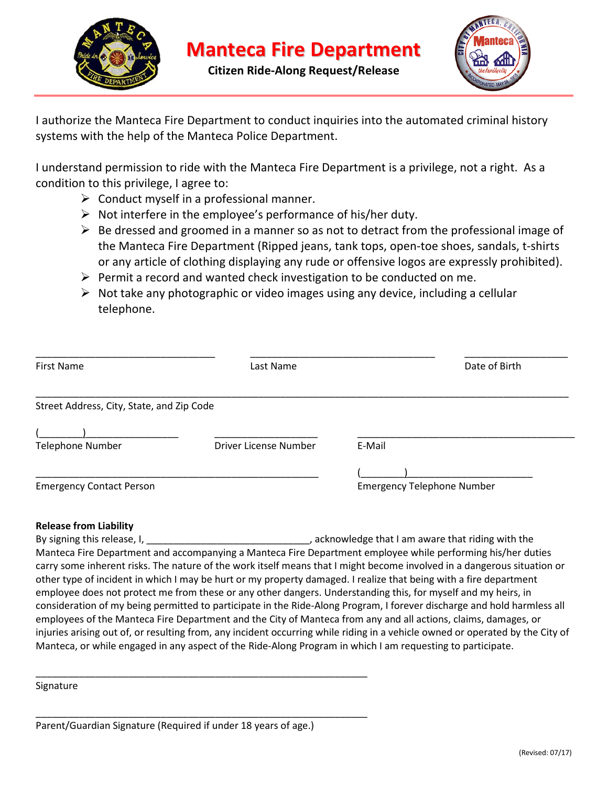

**Citizen Ride-Along Request/Release**



I authorize the Manteca Fire Department to conduct inquiries into the automated criminal history systems with the help of the Manteca Police Department.

I understand permission to ride with the Manteca Fire Department is a privilege, not a right. As a condition to this privilege, I agree to:

- $\triangleright$  Conduct myself in a professional manner.
- $\triangleright$  Not interfere in the employee's performance of his/her duty.
- $\triangleright$  Be dressed and groomed in a manner so as not to detract from the professional image of the Manteca Fire Department (Ripped jeans, tank tops, open-toe shoes, sandals, t-shirts or any article of clothing displaying any rude or offensive logos are expressly prohibited).
- $\triangleright$  Permit a record and wanted check investigation to be conducted on me.
- $\triangleright$  Not take any photographic or video images using any device, including a cellular telephone.

| <b>First Name</b>                         | Last Name             | Date of Birth |
|-------------------------------------------|-----------------------|---------------|
| Street Address, City, State, and Zip Code |                       |               |
| <b>Telephone Number</b>                   | Driver License Number | E-Mail        |
|                                           |                       |               |

## **Release from Liability**

By signing this release, I, \_\_\_\_\_\_\_\_\_\_\_\_\_\_\_\_\_\_\_\_\_\_\_\_\_\_\_\_\_\_\_, acknowledge that I am aware that riding with the Manteca Fire Department and accompanying a Manteca Fire Department employee while performing his/her duties carry some inherent risks. The nature of the work itself means that I might become involved in a dangerous situation or other type of incident in which I may be hurt or my property damaged. I realize that being with a fire department employee does not protect me from these or any other dangers. Understanding this, for myself and my heirs, in consideration of my being permitted to participate in the Ride-Along Program, I forever discharge and hold harmless all employees of the Manteca Fire Department and the City of Manteca from any and all actions, claims, damages, or injuries arising out of, or resulting from, any incident occurring while riding in a vehicle owned or operated by the City of Manteca, or while engaged in any aspect of the Ride-Along Program in which I am requesting to participate.

**Signature** 

\_\_\_\_\_\_\_\_\_\_\_\_\_\_\_\_\_\_\_\_\_\_\_\_\_\_\_\_\_\_\_\_\_\_\_\_\_\_\_\_\_\_\_\_\_\_\_\_\_\_\_\_\_\_\_\_\_\_\_\_\_

\_\_\_\_\_\_\_\_\_\_\_\_\_\_\_\_\_\_\_\_\_\_\_\_\_\_\_\_\_\_\_\_\_\_\_\_\_\_\_\_\_\_\_\_\_\_\_\_\_\_\_\_\_\_\_\_\_\_\_\_\_

Parent/Guardian Signature (Required if under 18 years of age.)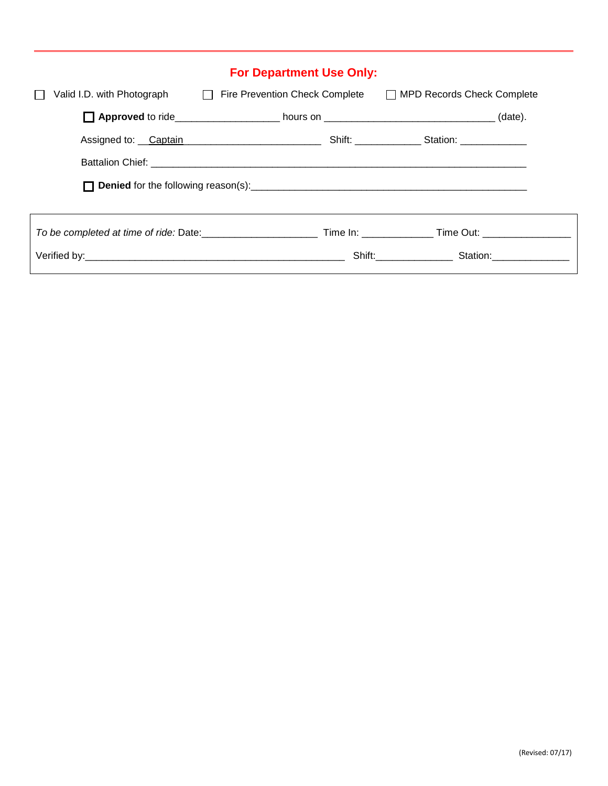| <b>For Department Use Only:</b> |                                                                                                   |                          |  |  |
|---------------------------------|---------------------------------------------------------------------------------------------------|--------------------------|--|--|
|                                 | Valid I.D. with Photograph<br>Fire Prevention Check Complete<br>□ MPD Records Check Complete      |                          |  |  |
|                                 | <b>Approved</b> to ride_______________________ hours on __________________________________(date). |                          |  |  |
|                                 |                                                                                                   |                          |  |  |
|                                 |                                                                                                   |                          |  |  |
|                                 |                                                                                                   |                          |  |  |
|                                 |                                                                                                   |                          |  |  |
|                                 |                                                                                                   |                          |  |  |
|                                 |                                                                                                   | Shift: Station: Station: |  |  |
|                                 |                                                                                                   |                          |  |  |